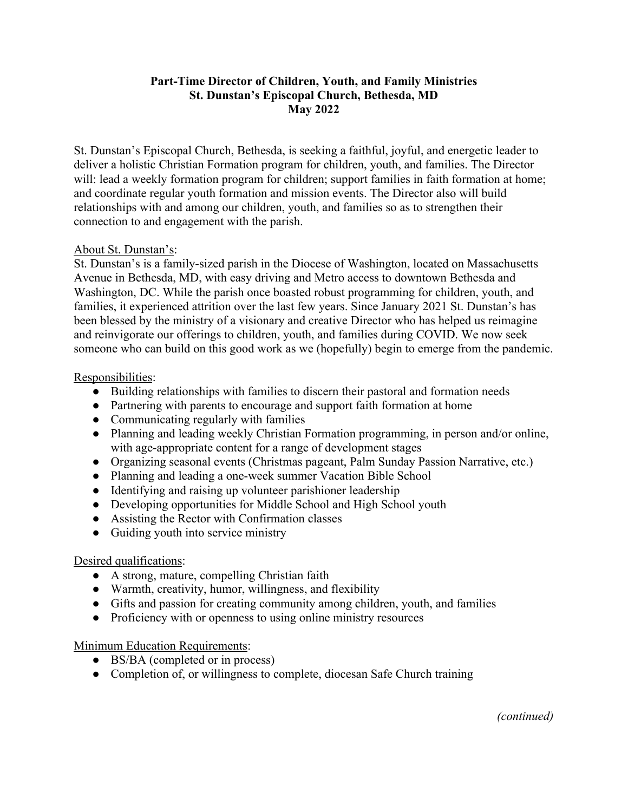## **Part-Time Director of Children, Youth, and Family Ministries St. Dunstan's Episcopal Church, Bethesda, MD May 2022**

St. Dunstan's Episcopal Church, Bethesda, is seeking a faithful, joyful, and energetic leader to deliver a holistic Christian Formation program for children, youth, and families. The Director will: lead a weekly formation program for children; support families in faith formation at home; and coordinate regular youth formation and mission events. The Director also will build relationships with and among our children, youth, and families so as to strengthen their connection to and engagement with the parish.

### About St. Dunstan's:

St. Dunstan's is a family-sized parish in the Diocese of Washington, located on Massachusetts Avenue in Bethesda, MD, with easy driving and Metro access to downtown Bethesda and Washington, DC. While the parish once boasted robust programming for children, youth, and families, it experienced attrition over the last few years. Since January 2021 St. Dunstan's has been blessed by the ministry of a visionary and creative Director who has helped us reimagine and reinvigorate our offerings to children, youth, and families during COVID. We now seek someone who can build on this good work as we (hopefully) begin to emerge from the pandemic.

### Responsibilities:

- Building relationships with families to discern their pastoral and formation needs
- Partnering with parents to encourage and support faith formation at home
- Communicating regularly with families
- Planning and leading weekly Christian Formation programming, in person and/or online, with age-appropriate content for a range of development stages
- Organizing seasonal events (Christmas pageant, Palm Sunday Passion Narrative, etc.)
- Planning and leading a one-week summer Vacation Bible School
- Identifying and raising up volunteer parishioner leadership
- Developing opportunities for Middle School and High School youth
- Assisting the Rector with Confirmation classes
- Guiding youth into service ministry

# Desired qualifications:

- A strong, mature, compelling Christian faith
- Warmth, creativity, humor, willingness, and flexibility
- Gifts and passion for creating community among children, youth, and families
- Proficiency with or openness to using online ministry resources

# Minimum Education Requirements:

- BS/BA (completed or in process)
- Completion of, or willingness to complete, diocesan Safe Church training

*(continued)*